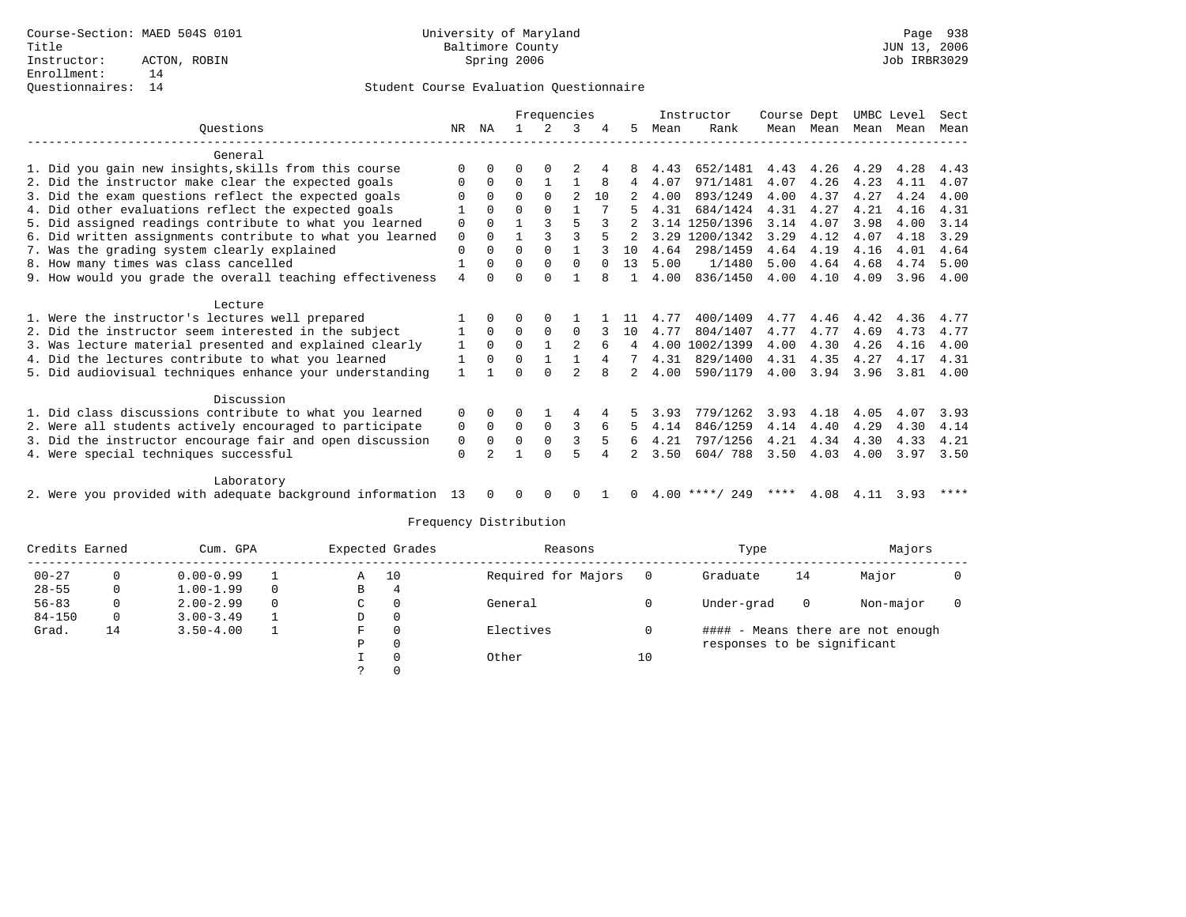### Questionnaires: 14 Student Course Evaluation Questionnaire

|                                                           |                |          |              | Frequencies  |                |          |               |      | Instructor     | Course Dept |           | UMBC Level |      | Sect        |
|-----------------------------------------------------------|----------------|----------|--------------|--------------|----------------|----------|---------------|------|----------------|-------------|-----------|------------|------|-------------|
| Ouestions                                                 | NR.            | ΝA       |              | 2            | 3              |          | 5.            | Mean | Rank           |             | Mean Mean | Mean Mean  |      | Mean        |
| General                                                   |                |          |              |              |                |          |               |      |                |             |           |            |      |             |
| 1. Did you gain new insights, skills from this course     | $\Omega$       | $\Omega$ |              | O            |                |          | 8             | 4.43 | 652/1481       | 4.43        | 4.26      | 4.29       | 4.28 | 4.43        |
| 2. Did the instructor make clear the expected goals       | $\Omega$       | $\Omega$ | $\Omega$     | $\mathbf{1}$ |                | 8        | 4             | 4.07 | 971/1481       | 4.07        | 4.26      | 4.23       | 4.11 | 4.07        |
| 3. Did the exam questions reflect the expected goals      | U              | $\Omega$ | $\Omega$     | $\Omega$     | $\mathfrak{D}$ | 10       |               | 4.00 | 893/1249       | 4.00        | 4.37      | 4.27       | 4.24 | 4.00        |
| 4. Did other evaluations reflect the expected goals       |                | $\Omega$ | $\Omega$     | $\cap$       |                |          |               | 4.31 | 684/1424       | 4.31        | 4.27      | 4.21       | 4.16 | 4.31        |
| 5. Did assigned readings contribute to what you learned   | $\mathbf 0$    | $\cap$   |              |              |                |          |               |      | 3.14 1250/1396 | 3.14        | 4.07      | 3.98       | 4.00 | 3.14        |
| 6. Did written assignments contribute to what you learned | $\mathbf 0$    | $\Omega$ | $\mathbf{1}$ |              | 3              |          | $\mathcal{L}$ |      | 3.29 1200/1342 | 3.29        | 4.12      | 4.07       | 4.18 | 3.29        |
| 7. Was the grading system clearly explained               | $\mathbf 0$    | $\Omega$ | 0            | $\Omega$     |                |          | 10            | 4.64 | 298/1459       | 4.64        | 4.19      | 4.16       | 4.01 | 4.64        |
| 8. How many times was class cancelled                     |                | $\Omega$ | $\Omega$     | $\Omega$     | $\Omega$       | $\Omega$ | 13            | 5.00 | 1/1480         | 5.00        | 4.64      | 4.68       | 4.74 | 5.00        |
| 9. How would you grade the overall teaching effectiveness | $\overline{4}$ | $\cap$   | <sup>n</sup> | $\cap$       |                |          | $\mathbf{1}$  | 4.00 | 836/1450       | 4.00        | 4.10      | 4.09       |      | $3.96$ 4.00 |
| Lecture                                                   |                |          |              |              |                |          |               |      |                |             |           |            |      |             |
| 1. Were the instructor's lectures well prepared           |                | $\Omega$ | U            | $\Omega$     |                |          | 11            | 4.77 | 400/1409       | 4.77        | 4.46      | 4.42       | 4.36 | 4.77        |
| 2. Did the instructor seem interested in the subject      | 1              | $\Omega$ | $\Omega$     | $\Omega$     | $\Omega$       |          | 10            | 4.77 | 804/1407       | 4.77        | 4.77      | 4.69       | 4.73 | 4.77        |
| 3. Was lecture material presented and explained clearly   | $\mathbf{1}$   | $\Omega$ | $\Omega$     |              |                | 6        | 4             |      | 4.00 1002/1399 | 4.00        | 4.30      | 4.26       | 4.16 | 4.00        |
| 4. Did the lectures contribute to what you learned        | 1              | $\Omega$ | $\Omega$     |              |                | 4        |               | 4.31 | 829/1400       | 4.31        | 4.35      | 4.27       | 4.17 | 4.31        |
| 5. Did audiovisual techniques enhance your understanding  | $\mathbf{1}$   |          | U            | $\cap$       |                |          | 2             | 4.00 | 590/1179       | 4.00        | 3.94      | 3.96       | 3.81 | 4.00        |
|                                                           |                |          |              |              |                |          |               |      |                |             |           |            |      |             |
| Discussion                                                |                |          |              |              |                |          |               |      |                |             |           |            |      |             |
| 1. Did class discussions contribute to what you learned   | $\Omega$       | $\Omega$ | 0            |              | 4              |          | 5.            | 3.93 | 779/1262       | 3.93        | 4.18      | 4.05       | 4.07 | 3.93        |
| 2. Were all students actively encouraged to participate   | 0              | $\Omega$ | $\Omega$     | $\Omega$     | 3              | 6        | .5.           | 4.14 | 846/1259       | 4.14        | 4.40      | 4.29       | 4.30 | 4.14        |
| 3. Did the instructor encourage fair and open discussion  | 0              | $\Omega$ | $\mathbf 0$  | $\Omega$     |                |          | 6             | 4.21 | 797/1256       | 4.21        | 4.34      | 4.30       | 4.33 | 4.21        |
| 4. Were special techniques successful                     | 0              |          |              | $\Omega$     |                |          |               | 3.50 | 604/788        | 3.50        | 4.03      | 4.00       | 3.97 | 3.50        |
| Laboratory                                                |                |          |              |              |                |          |               |      |                |             |           |            |      |             |
| .                                                         |                |          |              |              |                |          |               |      | .              |             |           |            |      |             |

2. Were you provided with adequate background information 13 0 0 0 0 1 0 4.00 \*\*\*\*/ 249 \*\*\*\* 4.08 4.11 3.93 \*\*\*\*

| Credits Earned |    | Cum. GPA      |          |   | Expected Grades | Reasons             |    | Type                        | Majors |                                   |  |
|----------------|----|---------------|----------|---|-----------------|---------------------|----|-----------------------------|--------|-----------------------------------|--|
| $00 - 27$      |    | $0.00 - 0.99$ |          | Α | 10              | Required for Majors |    | Graduate                    | 14     | Major                             |  |
| $28 - 55$      | 0  | $1.00 - 1.99$ | $\Omega$ | В | 4               |                     |    |                             |        |                                   |  |
| $56 - 83$      | 0  | $2.00 - 2.99$ | $\Omega$ | C | 0               | General             |    | Under-grad                  | 0      | Non-major                         |  |
| $84 - 150$     | 0  | $3.00 - 3.49$ |          | D | $\mathbf{0}$    |                     |    |                             |        |                                   |  |
| Grad.          | 14 | $3.50 - 4.00$ |          | F | 0               | Electives           |    |                             |        | #### - Means there are not enough |  |
|                |    |               |          | D | 0               |                     |    | responses to be significant |        |                                   |  |
|                |    |               |          |   | $\Omega$        | Other               | 10 |                             |        |                                   |  |
|                |    |               |          |   |                 |                     |    |                             |        |                                   |  |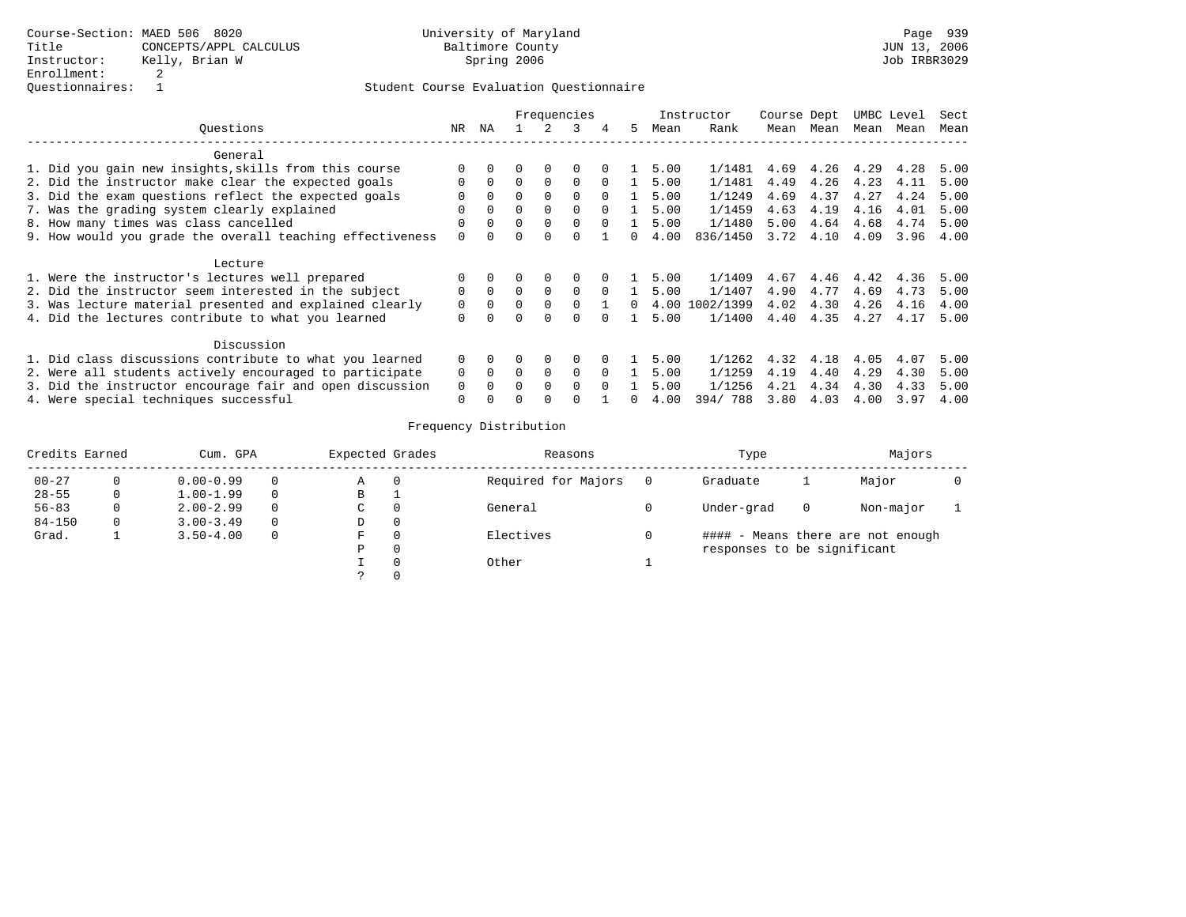# Student Course Evaluation Questionnaire

|                                                           |              |          | Frequencies |          |              |          |    |      | Instructor     | Course Dept |      | UMBC Level |      | Sect |
|-----------------------------------------------------------|--------------|----------|-------------|----------|--------------|----------|----|------|----------------|-------------|------|------------|------|------|
| Ouestions                                                 | NR.          | NA       |             |          | 3            | 4        | 5. | Mean | Rank           | Mean        | Mean | Mean       | Mean | Mean |
| General                                                   |              |          |             |          |              |          |    |      |                |             |      |            |      |      |
| 1. Did you gain new insights, skills from this course     | $\Omega$     |          |             | $\Omega$ | $\Omega$     |          |    | 5.00 | 1/1481         | 4.69        | 4.26 | 4.29       | 4.28 | 5.00 |
| 2. Did the instructor make clear the expected goals       | $\Omega$     | $\Omega$ | $\Omega$    | $\Omega$ | $\Omega$     | $\Omega$ |    | 5.00 | 1/1481         | 4.49        | 4.26 | 4.23       | 4.11 | 5.00 |
| 3. Did the exam questions reflect the expected goals      |              |          |             | $\Omega$ | 0            | $\Omega$ |    | 5.00 | 1/1249         | 4.69        | 4.37 | 4.27       | 4.24 | 5.00 |
| 7. Was the grading system clearly explained               | $\Omega$     | $\Omega$ | $\cap$      | $\Omega$ | $\Omega$     | $\Omega$ |    | 5.00 | 1/1459         | 4.63        | 4.19 | 4.16       | 4.01 | 5.00 |
| 8. How many times was class cancelled                     | $\Omega$     | $\Omega$ | $\Omega$    | $\Omega$ | $\Omega$     | $\Omega$ |    | 5.00 | 1/1480         | 5.00        | 4.64 | 4.68       | 4.74 | 5.00 |
| 9. How would you grade the overall teaching effectiveness |              |          |             | $\Omega$ |              |          | 0  | 4.00 | 836/1450       | 3.72        | 4.10 | 4.09       | 3.96 | 4.00 |
| Lecture                                                   |              |          |             |          |              |          |    |      |                |             |      |            |      |      |
| 1. Were the instructor's lectures well prepared           | $\Omega$     | $\Omega$ |             | 0        | 0            |          |    | 5.00 | 1/1409         | 4.67        | 4.46 | 4.42       | 4.36 | 5.00 |
| 2. Did the instructor seem interested in the subject      | $\Omega$     | $\Omega$ |             | $\Omega$ | $\Omega$     | $\Omega$ |    | 5.00 | 1/1407         | 4.90        | 4.77 | 4.69       | 4.73 | 5.00 |
| 3. Was lecture material presented and explained clearly   | 0            | $\Omega$ |             | $\Omega$ | $\Omega$     |          | 0  |      | 4.00 1002/1399 | 4.02        | 4.30 | 4.26       | 4.16 | 4.00 |
| 4. Did the lectures contribute to what you learned        | 0            | $\Omega$ |             | $\Omega$ | <sup>0</sup> |          |    | 5.00 | 1/1400         | 4.40        | 4.35 | 4.27       | 4.17 | 5.00 |
| Discussion                                                |              |          |             |          |              |          |    |      |                |             |      |            |      |      |
| 1. Did class discussions contribute to what you learned   | $\mathbf{0}$ | 0        |             | 0        | $\Omega$     |          |    | 5.00 | 1/1262         | 4.32        | 4.18 | 4.05       | 4.07 | 5.00 |
| 2. Were all students actively encouraged to participate   | 0            | $\Omega$ |             | $\Omega$ | $\Omega$     | $\Omega$ |    | 5.00 | 1/1259         | 4.19        | 4.40 | 4.29       | 4.30 | 5.00 |
| 3. Did the instructor encourage fair and open discussion  |              |          | 0           | $\Omega$ | $\Omega$     | $\Omega$ |    | 5.00 | 1/1256         | 4.21        | 4.34 | 4.30       | 4.33 | 5.00 |
| 4. Were special techniques successful                     | $\Omega$     |          |             |          |              |          |    | 4.00 | 394/788        | 3.80        | 4.03 | 4.00       | 3.97 | 4.00 |

| Credits Earned |   | Cum. GPA      |          |    | Expected Grades | Reasons             | Type                        | Majors |                                   |  |
|----------------|---|---------------|----------|----|-----------------|---------------------|-----------------------------|--------|-----------------------------------|--|
| $00 - 27$      |   | $0.00 - 0.99$ | 0        | Α  |                 | Required for Majors | Graduate                    |        | Major                             |  |
| $28 - 55$      |   | $1.00 - 1.99$ | $\Omega$ | В  |                 |                     |                             |        |                                   |  |
| $56 - 83$      |   | $2.00 - 2.99$ | $\Omega$ | C  |                 | General             | Under-grad                  | 0      | Non-major                         |  |
| $84 - 150$     | 0 | $3.00 - 3.49$ | $\Omega$ | D  | $\Omega$        |                     |                             |        |                                   |  |
| Grad.          |   | $3.50 - 4.00$ | 0        | F. |                 | Electives           |                             |        | #### - Means there are not enough |  |
|                |   |               |          | Ρ  |                 |                     | responses to be significant |        |                                   |  |
|                |   |               |          |    |                 | Other               |                             |        |                                   |  |
|                |   |               |          |    |                 |                     |                             |        |                                   |  |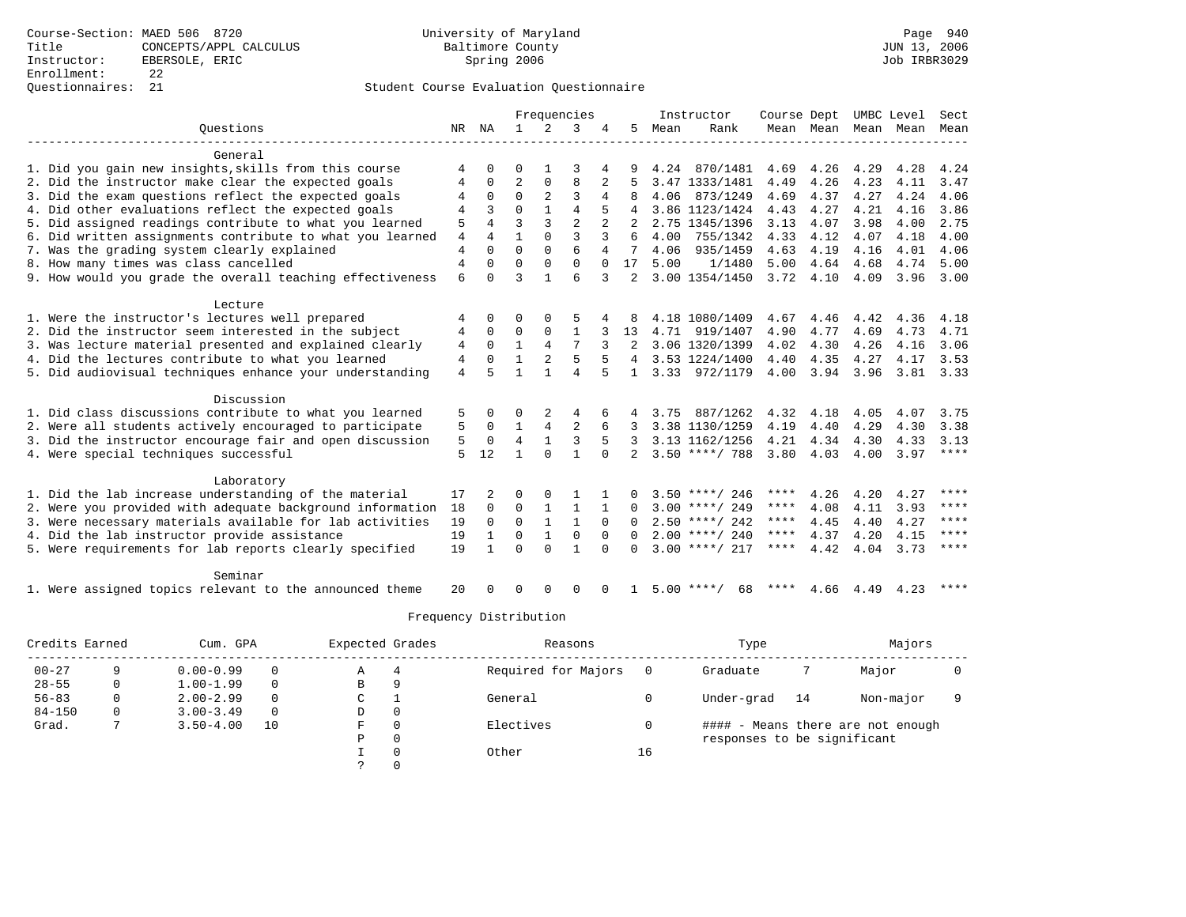### Questionnaires: 21 Student Course Evaluation Questionnaire

|                                                           |                |              | Frequencies    |                |                |          | Instructor     | Course Dept |                    | UMBC Level |                | Sect |           |               |
|-----------------------------------------------------------|----------------|--------------|----------------|----------------|----------------|----------|----------------|-------------|--------------------|------------|----------------|------|-----------|---------------|
| Ouestions                                                 | NR             | ΝA           | $\mathbf{1}$   | 2              | 3              |          | .5             | Mean        | Rank               |            | Mean Mean Mean |      | Mean Mean |               |
| General                                                   |                |              |                |                |                |          |                |             |                    |            |                |      |           |               |
| 1. Did you gain new insights, skills from this course     | 4              | <sup>0</sup> | U              |                | 3              | 4        |                | 4.24        | 870/1481           | 4.69       | 4.26           | 4.29 | 4.28      | 4.24          |
| 2. Did the instructor make clear the expected goals       |                | 0            | $\overline{2}$ | 0              | 8              |          |                |             | 3.47 1333/1481     | 4.49       | 4.26           | 4.23 | 4.11      | 3.47          |
| 3. Did the exam questions reflect the expected goals      | 4              | $\Omega$     | $\Omega$       | $\overline{a}$ | 3              | 4        |                | 4.06        | 873/1249           | 4.69       | 4.37           | 4.27 | 4.24      | 4.06          |
| 4. Did other evaluations reflect the expected goals       | 4              | 3            | $\Omega$       |                | $\overline{4}$ |          |                |             | 3.86 1123/1424     | 4.43       | 4.27           | 4.21 | 4.16      | 3.86          |
| 5. Did assigned readings contribute to what you learned   | 5              | 4            | $\mathbf{3}$   | ζ              | $\overline{2}$ |          | 2              |             | 2.75 1345/1396     | 3.13       | 4.07           | 3.98 | 4.00      | 2.75          |
| 6. Did written assignments contribute to what you learned | 4              | 4            | 1              | $\Omega$       | $\mathbf{3}$   | 3        | 6              | 4.00        | 755/1342           | 4.33       | 4.12           | 4.07 | 4.18      | 4.00          |
| 7. Was the grading system clearly explained               | $\overline{4}$ | $\Omega$     | $\Omega$       | $\Omega$       | 6              | 4        | 7              | 4.06        | 935/1459           | 4.63       | 4.19           | 4.16 | 4.01      | 4.06          |
| 8. How many times was class cancelled                     | $\overline{4}$ | $\Omega$     | $\Omega$       | $\Omega$       | $\Omega$       | $\Omega$ | 17             | 5.00        | 1/1480             | 5.00       | 4.64           | 4.68 | 4.74      | 5.00          |
| 9. How would you grade the overall teaching effectiveness | 6              | $\Omega$     | 3              |                | 6              | 3        | $\mathfrak{D}$ |             | 3.00 1354/1450     | 3.72       | 4.10           | 4.09 | 3.96      | 3.00          |
| Lecture                                                   |                |              |                |                |                |          |                |             |                    |            |                |      |           |               |
| 1. Were the instructor's lectures well prepared           | 4              | 0            | U              | $\Omega$       | 5              |          |                |             | 4.18 1080/1409     | 4.67       | 4.46           | 4.42 | 4.36      | 4.18          |
| 2. Did the instructor seem interested in the subject      | 4              | $\Omega$     | $\Omega$       | $\mathbf 0$    | $\mathbf{1}$   |          | 13             |             | 4.71 919/1407      | 4.90       | 4.77           | 4.69 | 4.73      | 4.71          |
| 3. Was lecture material presented and explained clearly   | 4              | $\Omega$     | $\mathbf{1}$   | $\overline{4}$ | 7              |          |                |             | 3.06 1320/1399     | 4.02       | 4.30           | 4.26 | 4.16      | 3.06          |
| 4. Did the lectures contribute to what you learned        | $\overline{4}$ | $\Omega$     | 1              | 2              | 5              |          |                |             | 3.53 1224/1400     | 4.40       | 4.35           | 4.27 | 4.17      | 3.53          |
| 5. Did audiovisual techniques enhance your understanding  | 4              | 5            | 1              |                | $\overline{A}$ | 5        | 1.             |             | 3.33 972/1179      | 4.00       | 3.94           | 3.96 |           | $3.81$ $3.33$ |
| Discussion                                                |                |              |                |                |                |          |                |             |                    |            |                |      |           |               |
| 1. Did class discussions contribute to what you learned   | 5              | <sup>0</sup> | O              | 2              | 4              | 6        |                | 3.75        | 887/1262           | 4.32       | 4.18           | 4.05 | 4.07      | 3.75          |
| 2. Were all students actively encouraged to participate   | 5              | 0            | $\mathbf{1}$   | $\overline{4}$ | $\overline{2}$ | 6        | 3              |             | 3.38 1130/1259     | 4.19       | 4.40           | 4.29 | 4.30      | 3.38          |
| 3. Did the instructor encourage fair and open discussion  | 5              | 0            | $\overline{4}$ | $\mathbf{1}$   | 3              | 5        | 3              |             | 3.13 1162/1256     | 4.21       | 4.34           | 4.30 | 4.33      | 3.13          |
| 4. Were special techniques successful                     | 5              | 12           | 1              | $\Omega$       | $\mathbf{1}$   | $\Omega$ |                |             | $3.50$ ****/ 788   | 3.80       | 4.03           | 4.00 | 3.97      | $***$ * * *   |
| Laboratory                                                |                |              |                |                |                |          |                |             |                    |            |                |      |           |               |
| 1. Did the lab increase understanding of the material     | 17             |              | O              | $\Omega$       |                |          |                |             | $3.50$ ****/ 246   | ****       | 4.26           | 4.20 | 4.27      | ****          |
| 2. Were you provided with adequate background information | 18             | 0            | 0              | 1              | 1              |          | <sup>0</sup>   |             | $3.00$ ****/ 249   | ****       | 4.08           | 4.11 | 3.93      | ****          |
| 3. Were necessary materials available for lab activities  | 19             | $\Omega$     | $\Omega$       | 1              | 1              | $\Omega$ | 0              |             | $2.50$ ****/ 242   | ****       | 4.45           | 4.40 | 4.27      | $***$ * * *   |
| 4. Did the lab instructor provide assistance              | 19             | 1            | $\Omega$       | 1              | $\Omega$       | $\Omega$ | $\Omega$       |             | $2.00$ ****/ 240   | ****       | 4.37           | 4.20 | 4.15      | ****          |
| 5. Were requirements for lab reports clearly specified    | 19             | $\mathbf{1}$ | $\Omega$       | $\Omega$       | 1              | $\Omega$ | <sup>0</sup>   |             | $3.00$ ****/ 217   | ****       | 4.42           | 4.04 | 3.73      | $***$ * * *   |
| Seminar                                                   |                |              |                |                |                |          |                |             |                    |            |                |      |           |               |
| 1. Were assigned topics relevant to the announced theme   | 20             | <sup>n</sup> | U              | $\Omega$       | $\Omega$       | $\Omega$ |                |             | $5.00$ ****/<br>68 | ****       | 4.66           | 4.49 | 4.23      | ****          |

| Credits Earned |          | Cum. GPA      | Expected Grades |    | Reasons  |                     | Type | Majors                      |    |                                   |  |
|----------------|----------|---------------|-----------------|----|----------|---------------------|------|-----------------------------|----|-----------------------------------|--|
| $00 - 27$      |          | $0.00 - 0.99$ |                 | Α  | 4        | Required for Majors |      | Graduate                    |    | Major                             |  |
| $28 - 55$      |          | $1.00 - 1.99$ |                 | в  | 9        |                     |      |                             |    |                                   |  |
| $56 - 83$      | $\Omega$ | $2.00 - 2.99$ | $\Omega$        | C. |          | General             |      | Under-grad                  | 14 | Non-major                         |  |
| $84 - 150$     | $\Omega$ | $3.00 - 3.49$ | $\Omega$        | D  | 0        |                     |      |                             |    |                                   |  |
| Grad.          |          | $3.50 - 4.00$ | 10              | F  | $\Omega$ | Electives           |      |                             |    | #### - Means there are not enough |  |
|                |          |               |                 | P  | 0        |                     |      | responses to be significant |    |                                   |  |
|                |          |               |                 |    | $\Omega$ | Other               | 16   |                             |    |                                   |  |
|                |          |               |                 |    |          |                     |      |                             |    |                                   |  |